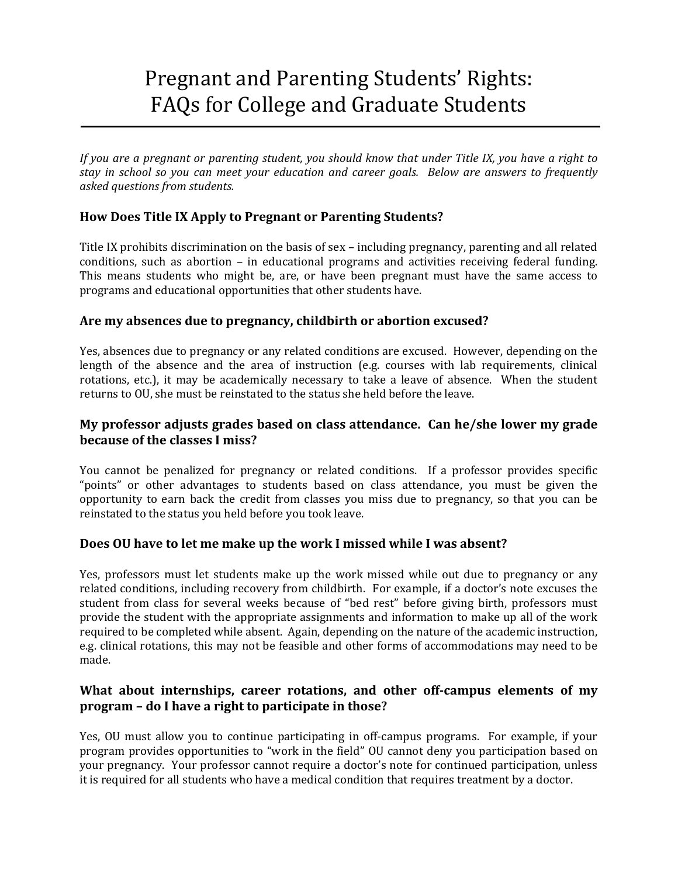# Pregnant and Parenting Students' Rights: FAQs for College and Graduate Students

If you are a pregnant or parenting student, you should know that under Title IX, you have a right to *stay in school so you can meet your education and career goals. Below are answers to frequently asked questions from students.*

# **How Does Title IX Apply to Pregnant or Parenting Students?**

Title IX prohibits discrimination on the basis of sex – including pregnancy, parenting and all related conditions, such as abortion - in educational programs and activities receiving federal funding. This means students who might be, are, or have been pregnant must have the same access to programs and educational opportunities that other students have.

#### **Are my absences due to pregnancy, childbirth or abortion excused?**

Yes, absences due to pregnancy or any related conditions are excused. However, depending on the length of the absence and the area of instruction (e.g. courses with lab requirements, clinical rotations, etc.), it may be academically necessary to take a leave of absence. When the student returns to OU, she must be reinstated to the status she held before the leave.

# **My professor adjusts grades based on class attendance. Can he/she lower my grade because of the classes I miss?**

You cannot be penalized for pregnancy or related conditions. If a professor provides specific "points" or other advantages to students based on class attendance, you must be given the opportunity to earn back the credit from classes you miss due to pregnancy, so that you can be reinstated to the status you held before you took leave.

#### **Does OU have to let me make up the work I missed while I was absent?**

Yes, professors must let students make up the work missed while out due to pregnancy or any related conditions, including recovery from childbirth. For example, if a doctor's note excuses the student from class for several weeks because of "bed rest" before giving birth, professors must provide the student with the appropriate assignments and information to make up all of the work required to be completed while absent. Again, depending on the nature of the academic instruction, e.g. clinical rotations, this may not be feasible and other forms of accommodations may need to be made. 

## **What about internships, career rotations, and other off‐campus elements of my program – do I have a right to participate in those?**

Yes, OU must allow you to continue participating in off-campus programs. For example, if your program provides opportunities to "work in the field" OU cannot deny you participation based on your pregnancy. Your professor cannot require a doctor's note for continued participation, unless it is required for all students who have a medical condition that requires treatment by a doctor.